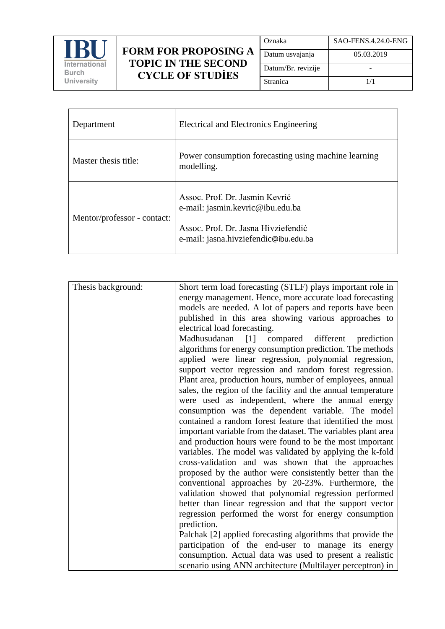

## **FORM FOR PROPOSING A TOPIC IN THE SECOND CYCLE OF STUDİES**

| Oznaka             | SAO-FENS.4.24.0-ENG |
|--------------------|---------------------|
| Datum usvajanja    | 05.03.2019          |
| Datum/Br. revizije |                     |
| Stranica           | 1/1                 |

| Department                  | Electrical and Electronics Engineering                                                                                                             |
|-----------------------------|----------------------------------------------------------------------------------------------------------------------------------------------------|
| Master thesis title:        | Power consumption forecasting using machine learning<br>modelling.                                                                                 |
| Mentor/professor - contact: | Assoc. Prof. Dr. Jasmin Kevrić<br>e-mail: jasmin.kevric@ibu.edu.ba<br>Assoc. Prof. Dr. Jasna Hivziefendić<br>e-mail: jasna.hivziefendic@ibu.edu.ba |

| Thesis background: | Short term load forecasting (STLF) plays important role in    |
|--------------------|---------------------------------------------------------------|
|                    |                                                               |
|                    | energy management. Hence, more accurate load forecasting      |
|                    | models are needed. A lot of papers and reports have been      |
|                    | published in this area showing various approaches to          |
|                    | electrical load forecasting.                                  |
|                    | Madhusudanan<br>[1]<br>compared different<br>prediction       |
|                    | algorithms for energy consumption prediction. The methods     |
|                    | applied were linear regression, polynomial regression,        |
|                    | support vector regression and random forest regression.       |
|                    | Plant area, production hours, number of employees, annual     |
|                    | sales, the region of the facility and the annual temperature  |
|                    | were used as independent, where the annual energy             |
|                    | consumption was the dependent variable. The model             |
|                    | contained a random forest feature that identified the most    |
|                    | important variable from the dataset. The variables plant area |
|                    | and production hours were found to be the most important      |
|                    | variables. The model was validated by applying the k-fold     |
|                    | cross-validation and was shown that the approaches            |
|                    | proposed by the author were consistently better than the      |
|                    | conventional approaches by 20-23%. Furthermore, the           |
|                    | validation showed that polynomial regression performed        |
|                    | better than linear regression and that the support vector     |
|                    | regression performed the worst for energy consumption         |
|                    | prediction.                                                   |
|                    | Palchak [2] applied forecasting algorithms that provide the   |
|                    | participation of the end-user to manage its energy            |
|                    |                                                               |
|                    | consumption. Actual data was used to present a realistic      |
|                    | scenario using ANN architecture (Multilayer perceptron) in    |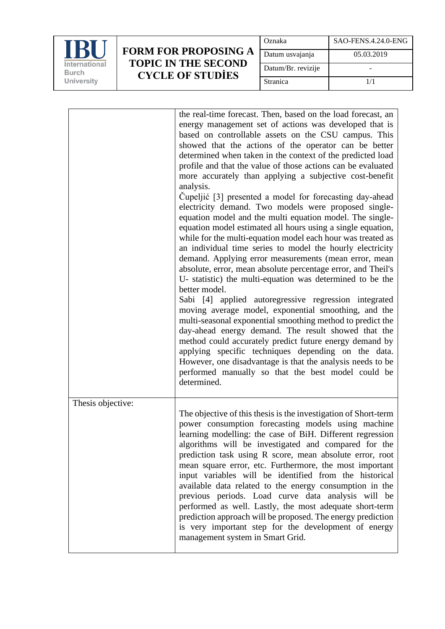

## **FORM FOR PROPOSING A TOPIC IN THE SECOND CYCLE OF STUDİES**

| Oznaka             | SAO-FENS.4.24.0-ENG |
|--------------------|---------------------|
| Datum usvajanja    | 05.03.2019          |
| Datum/Br. revizije |                     |
| <b>Stranica</b>    | 1/1                 |

|                   | the real-time forecast. Then, based on the load forecast, an<br>energy management set of actions was developed that is<br>based on controllable assets on the CSU campus. This<br>showed that the actions of the operator can be better<br>determined when taken in the context of the predicted load<br>profile and that the value of those actions can be evaluated<br>more accurately than applying a subjective cost-benefit<br>analysis.<br>Cupeljić [3] presented a model for forecasting day-ahead<br>electricity demand. Two models were proposed single-<br>equation model and the multi equation model. The single-<br>equation model estimated all hours using a single equation,<br>while for the multi-equation model each hour was treated as<br>an individual time series to model the hourly electricity<br>demand. Applying error measurements (mean error, mean<br>absolute, error, mean absolute percentage error, and Theil's<br>U- statistic) the multi-equation was determined to be the<br>better model.<br>Sabi [4] applied autoregressive regression integrated<br>moving average model, exponential smoothing, and the<br>multi-seasonal exponential smoothing method to predict the<br>day-ahead energy demand. The result showed that the<br>method could accurately predict future energy demand by<br>applying specific techniques depending on the data.<br>However, one disadvantage is that the analysis needs to be<br>performed manually so that the best model could be<br>determined. |
|-------------------|----------------------------------------------------------------------------------------------------------------------------------------------------------------------------------------------------------------------------------------------------------------------------------------------------------------------------------------------------------------------------------------------------------------------------------------------------------------------------------------------------------------------------------------------------------------------------------------------------------------------------------------------------------------------------------------------------------------------------------------------------------------------------------------------------------------------------------------------------------------------------------------------------------------------------------------------------------------------------------------------------------------------------------------------------------------------------------------------------------------------------------------------------------------------------------------------------------------------------------------------------------------------------------------------------------------------------------------------------------------------------------------------------------------------------------------------------------------------------------------------------------------------------|
| Thesis objective: | The objective of this thesis is the investigation of Short-term<br>power consumption forecasting models using machine<br>learning modelling: the case of BiH. Different regression<br>algorithms will be investigated and compared for the<br>prediction task using R score, mean absolute error, root<br>mean square error, etc. Furthermore, the most important<br>input variables will be identified from the historical<br>available data related to the energy consumption in the<br>previous periods. Load curve data analysis will be<br>performed as well. Lastly, the most adequate short-term<br>prediction approach will be proposed. The energy prediction<br>is very important step for the development of energy<br>management system in Smart Grid.                                                                                                                                                                                                                                                                                                                                                                                                                                                                                                                                                                                                                                                                                                                                                         |